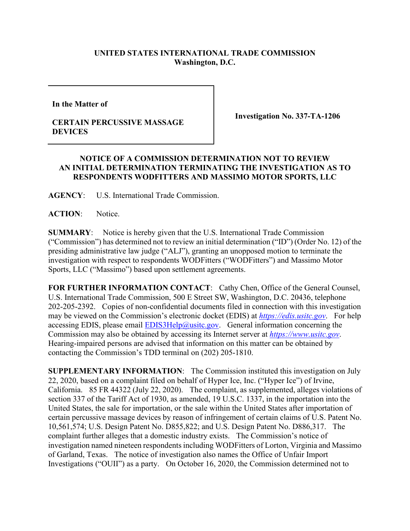## **UNITED STATES INTERNATIONAL TRADE COMMISSION Washington, D.C.**

**In the Matter of** 

## **CERTAIN PERCUSSIVE MASSAGE DEVICES**

**Investigation No. 337-TA-1206**

## **NOTICE OF A COMMISSION DETERMINATION NOT TO REVIEW AN INITIAL DETERMINATION TERMINATING THE INVESTIGATION AS TO RESPONDENTS WODFITTERS AND MASSIMO MOTOR SPORTS, LLC**

**AGENCY**: U.S. International Trade Commission.

ACTION: Notice.

**SUMMARY**: Notice is hereby given that the U.S. International Trade Commission ("Commission") has determined not to review an initial determination ("ID") (Order No. 12) of the presiding administrative law judge ("ALJ"), granting an unopposed motion to terminate the investigation with respect to respondents WODFitters ("WODFitters") and Massimo Motor Sports, LLC ("Massimo") based upon settlement agreements.

FOR FURTHER INFORMATION CONTACT: Cathy Chen, Office of the General Counsel, U.S. International Trade Commission, 500 E Street SW, Washington, D.C. 20436, telephone 202-205-2392. Copies of non-confidential documents filed in connection with this investigation may be viewed on the Commission's electronic docket (EDIS) at *[https://edis.usitc.gov](https://edis.usitc.gov/)*. For help accessing EDIS, please email  $EDIS3Help@ustc.gov$ . General information concerning the Commission may also be obtained by accessing its Internet server at *[https://www.usitc.gov](https://www.usitc.gov/)*. Hearing-impaired persons are advised that information on this matter can be obtained by contacting the Commission's TDD terminal on (202) 205-1810.

**SUPPLEMENTARY INFORMATION**: The Commission instituted this investigation on July 22, 2020, based on a complaint filed on behalf of Hyper Ice, Inc. ("Hyper Ice") of Irvine, California. 85 FR 44322 (July 22, 2020). The complaint, as supplemented, alleges violations of section 337 of the Tariff Act of 1930, as amended, 19 U.S.C. 1337, in the importation into the United States, the sale for importation, or the sale within the United States after importation of certain percussive massage devices by reason of infringement of certain claims of U.S. Patent No. 10,561,574; U.S. Design Patent No. D855,822; and U.S. Design Patent No. D886,317. The complaint further alleges that a domestic industry exists. The Commission's notice of investigation named nineteen respondents including WODFitters of Lorton, Virginia and Massimo of Garland, Texas. The notice of investigation also names the Office of Unfair Import Investigations ("OUII") as a party. On October 16, 2020, the Commission determined not to